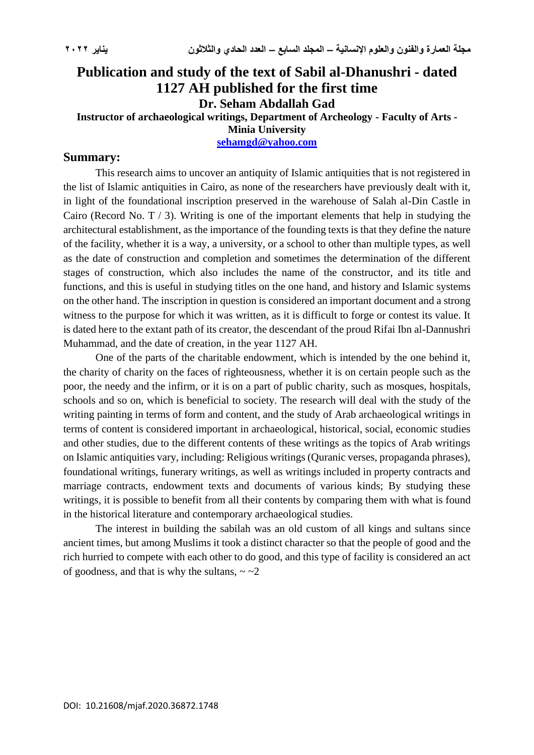## **Publication and study of the text of Sabil al-Dhanushri - dated 1127 AH published for the first time Dr. Seham Abdallah Gad Instructor of archaeological writings, Department of Archeology - Faculty of Arts - Minia University**

**[sehamgd@yahoo.com](mailto:sehamgd@yahoo.com)**

## **Summary:**

This research aims to uncover an antiquity of Islamic antiquities that is not registered in the list of Islamic antiquities in Cairo, as none of the researchers have previously dealt with it, in light of the foundational inscription preserved in the warehouse of Salah al-Din Castle in Cairo (Record No. T / 3). Writing is one of the important elements that help in studying the architectural establishment, as the importance of the founding texts is that they define the nature of the facility, whether it is a way, a university, or a school to other than multiple types, as well as the date of construction and completion and sometimes the determination of the different stages of construction, which also includes the name of the constructor, and its title and functions, and this is useful in studying titles on the one hand, and history and Islamic systems on the other hand. The inscription in question is considered an important document and a strong witness to the purpose for which it was written, as it is difficult to forge or contest its value. It is dated here to the extant path of its creator, the descendant of the proud Rifai Ibn al-Dannushri Muhammad, and the date of creation, in the year 1127 AH.

One of the parts of the charitable endowment, which is intended by the one behind it, the charity of charity on the faces of righteousness, whether it is on certain people such as the poor, the needy and the infirm, or it is on a part of public charity, such as mosques, hospitals, schools and so on, which is beneficial to society. The research will deal with the study of the writing painting in terms of form and content, and the study of Arab archaeological writings in terms of content is considered important in archaeological, historical, social, economic studies and other studies, due to the different contents of these writings as the topics of Arab writings on Islamic antiquities vary, including: Religious writings (Quranic verses, propaganda phrases), foundational writings, funerary writings, as well as writings included in property contracts and marriage contracts, endowment texts and documents of various kinds; By studying these writings, it is possible to benefit from all their contents by comparing them with what is found in the historical literature and contemporary archaeological studies.

The interest in building the sabilah was an old custom of all kings and sultans since ancient times, but among Muslims it took a distinct character so that the people of good and the rich hurried to compete with each other to do good, and this type of facility is considered an act of goodness, and that is why the sultans,  $\sim$   $\sim$  2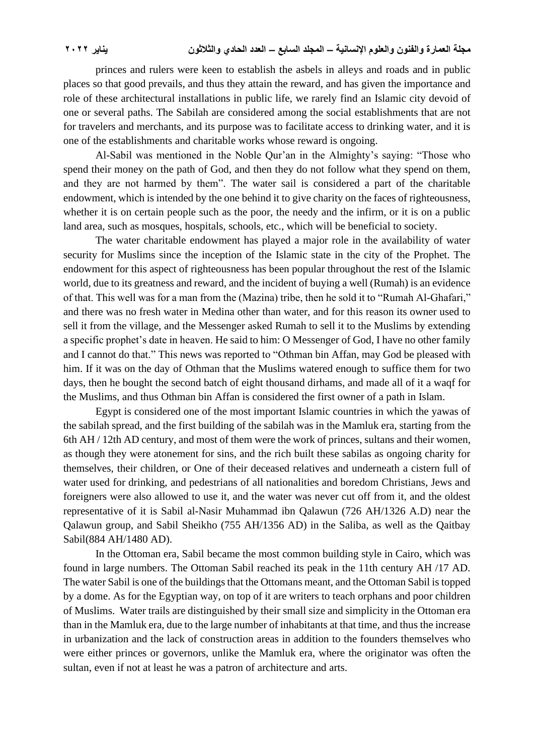princes and rulers were keen to establish the asbels in alleys and roads and in public places so that good prevails, and thus they attain the reward, and has given the importance and role of these architectural installations in public life, we rarely find an Islamic city devoid of one or several paths. The Sabilah are considered among the social establishments that are not for travelers and merchants, and its purpose was to facilitate access to drinking water, and it is one of the establishments and charitable works whose reward is ongoing.

Al-Sabil was mentioned in the Noble Qur'an in the Almighty's saying: "Those who spend their money on the path of God, and then they do not follow what they spend on them, and they are not harmed by them". The water sail is considered a part of the charitable endowment, which is intended by the one behind it to give charity on the faces of righteousness, whether it is on certain people such as the poor, the needy and the infirm, or it is on a public land area, such as mosques, hospitals, schools, etc., which will be beneficial to society.

The water charitable endowment has played a major role in the availability of water security for Muslims since the inception of the Islamic state in the city of the Prophet. The endowment for this aspect of righteousness has been popular throughout the rest of the Islamic world, due to its greatness and reward, and the incident of buying a well (Rumah) is an evidence of that. This well was for a man from the (Mazina) tribe, then he sold it to "Rumah Al-Ghafari," and there was no fresh water in Medina other than water, and for this reason its owner used to sell it from the village, and the Messenger asked Rumah to sell it to the Muslims by extending a specific prophet's date in heaven. He said to him: O Messenger of God, I have no other family and I cannot do that." This news was reported to "Othman bin Affan, may God be pleased with him. If it was on the day of Othman that the Muslims watered enough to suffice them for two days, then he bought the second batch of eight thousand dirhams, and made all of it a waqf for the Muslims, and thus Othman bin Affan is considered the first owner of a path in Islam.

Egypt is considered one of the most important Islamic countries in which the yawas of the sabilah spread, and the first building of the sabilah was in the Mamluk era, starting from the 6th AH / 12th AD century, and most of them were the work of princes, sultans and their women, as though they were atonement for sins, and the rich built these sabilas as ongoing charity for themselves, their children, or One of their deceased relatives and underneath a cistern full of water used for drinking, and pedestrians of all nationalities and boredom Christians, Jews and foreigners were also allowed to use it, and the water was never cut off from it, and the oldest representative of it is Sabil al-Nasir Muhammad ibn Qalawun (726 AH/1326 A.D) near the Qalawun group, and Sabil Sheikho (755 AH/1356 AD) in the Saliba, as well as the Qaitbay Sabil(884 AH/1480 AD).

In the Ottoman era, Sabil became the most common building style in Cairo, which was found in large numbers. The Ottoman Sabil reached its peak in the 11th century AH /17 AD. The water Sabil is one of the buildings that the Ottomans meant, and the Ottoman Sabil is topped by a dome. As for the Egyptian way, on top of it are writers to teach orphans and poor children of Muslims. Water trails are distinguished by their small size and simplicity in the Ottoman era than in the Mamluk era, due to the large number of inhabitants at that time, and thus the increase in urbanization and the lack of construction areas in addition to the founders themselves who were either princes or governors, unlike the Mamluk era, where the originator was often the sultan, even if not at least he was a patron of architecture and arts.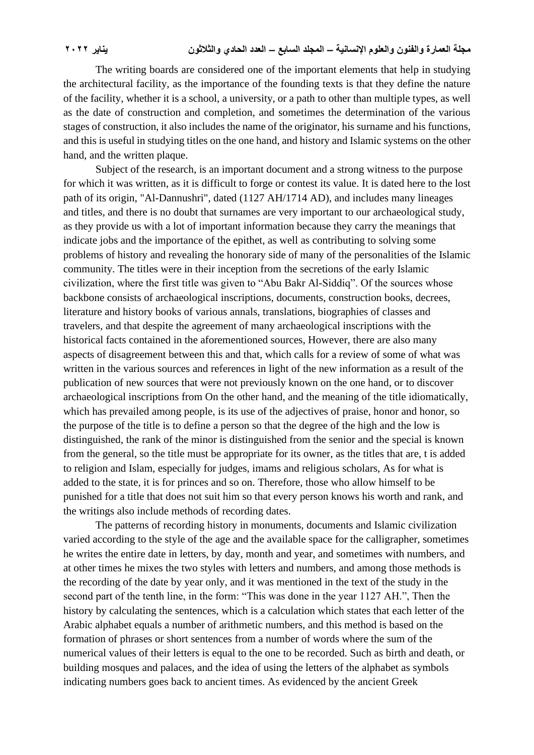The writing boards are considered one of the important elements that help in studying the architectural facility, as the importance of the founding texts is that they define the nature of the facility, whether it is a school, a university, or a path to other than multiple types, as well as the date of construction and completion, and sometimes the determination of the various stages of construction, it also includes the name of the originator, his surname and his functions, and this is useful in studying titles on the one hand, and history and Islamic systems on the other hand, and the written plaque.

Subject of the research, is an important document and a strong witness to the purpose for which it was written, as it is difficult to forge or contest its value. It is dated here to the lost path of its origin, "Al-Dannushri", dated (1127 AH/1714 AD), and includes many lineages and titles, and there is no doubt that surnames are very important to our archaeological study, as they provide us with a lot of important information because they carry the meanings that indicate jobs and the importance of the epithet, as well as contributing to solving some problems of history and revealing the honorary side of many of the personalities of the Islamic community. The titles were in their inception from the secretions of the early Islamic civilization, where the first title was given to "Abu Bakr Al-Siddiq". Of the sources whose backbone consists of archaeological inscriptions, documents, construction books, decrees, literature and history books of various annals, translations, biographies of classes and travelers, and that despite the agreement of many archaeological inscriptions with the historical facts contained in the aforementioned sources, However, there are also many aspects of disagreement between this and that, which calls for a review of some of what was written in the various sources and references in light of the new information as a result of the publication of new sources that were not previously known on the one hand, or to discover archaeological inscriptions from On the other hand, and the meaning of the title idiomatically, which has prevailed among people, is its use of the adjectives of praise, honor and honor, so the purpose of the title is to define a person so that the degree of the high and the low is distinguished, the rank of the minor is distinguished from the senior and the special is known from the general, so the title must be appropriate for its owner, as the titles that are, t is added to religion and Islam, especially for judges, imams and religious scholars, As for what is added to the state, it is for princes and so on. Therefore, those who allow himself to be punished for a title that does not suit him so that every person knows his worth and rank, and the writings also include methods of recording dates.

The patterns of recording history in monuments, documents and Islamic civilization varied according to the style of the age and the available space for the calligrapher, sometimes he writes the entire date in letters, by day, month and year, and sometimes with numbers, and at other times he mixes the two styles with letters and numbers, and among those methods is the recording of the date by year only, and it was mentioned in the text of the study in the second part of the tenth line, in the form: "This was done in the year 1127 AH.", Then the history by calculating the sentences, which is a calculation which states that each letter of the Arabic alphabet equals a number of arithmetic numbers, and this method is based on the formation of phrases or short sentences from a number of words where the sum of the numerical values of their letters is equal to the one to be recorded. Such as birth and death, or building mosques and palaces, and the idea of using the letters of the alphabet as symbols indicating numbers goes back to ancient times. As evidenced by the ancient Greek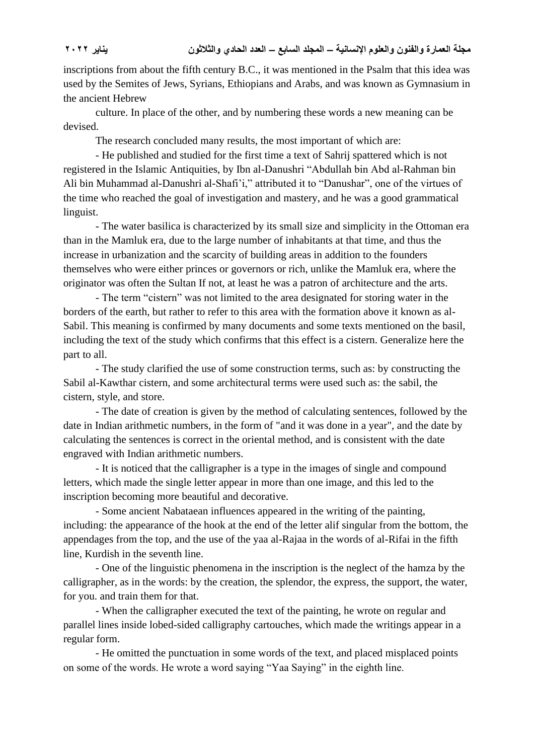inscriptions from about the fifth century B.C., it was mentioned in the Psalm that this idea was used by the Semites of Jews, Syrians, Ethiopians and Arabs, and was known as Gymnasium in the ancient Hebrew

culture. In place of the other, and by numbering these words a new meaning can be devised.

The research concluded many results, the most important of which are:

- He published and studied for the first time a text of Sahrij spattered which is not registered in the Islamic Antiquities, by Ibn al-Danushri "Abdullah bin Abd al-Rahman bin Ali bin Muhammad al-Danushri al-Shafi'i," attributed it to "Danushar", one of the virtues of the time who reached the goal of investigation and mastery, and he was a good grammatical linguist.

- The water basilica is characterized by its small size and simplicity in the Ottoman era than in the Mamluk era, due to the large number of inhabitants at that time, and thus the increase in urbanization and the scarcity of building areas in addition to the founders themselves who were either princes or governors or rich, unlike the Mamluk era, where the originator was often the Sultan If not, at least he was a patron of architecture and the arts.

- The term "cistern" was not limited to the area designated for storing water in the borders of the earth, but rather to refer to this area with the formation above it known as al-Sabil. This meaning is confirmed by many documents and some texts mentioned on the basil, including the text of the study which confirms that this effect is a cistern. Generalize here the part to all.

- The study clarified the use of some construction terms, such as: by constructing the Sabil al-Kawthar cistern, and some architectural terms were used such as: the sabil, the cistern, style, and store.

- The date of creation is given by the method of calculating sentences, followed by the date in Indian arithmetic numbers, in the form of "and it was done in a year", and the date by calculating the sentences is correct in the oriental method, and is consistent with the date engraved with Indian arithmetic numbers.

- It is noticed that the calligrapher is a type in the images of single and compound letters, which made the single letter appear in more than one image, and this led to the inscription becoming more beautiful and decorative.

- Some ancient Nabataean influences appeared in the writing of the painting, including: the appearance of the hook at the end of the letter alif singular from the bottom, the appendages from the top, and the use of the yaa al-Rajaa in the words of al-Rifai in the fifth line, Kurdish in the seventh line.

- One of the linguistic phenomena in the inscription is the neglect of the hamza by the calligrapher, as in the words: by the creation, the splendor, the express, the support, the water, for you. and train them for that.

- When the calligrapher executed the text of the painting, he wrote on regular and parallel lines inside lobed-sided calligraphy cartouches, which made the writings appear in a regular form.

- He omitted the punctuation in some words of the text, and placed misplaced points on some of the words. He wrote a word saying "Yaa Saying" in the eighth line.